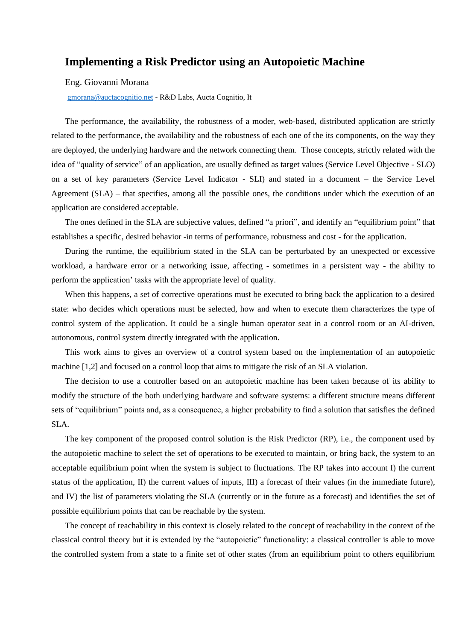## **Implementing a Risk Predictor using an Autopoietic Machine**

Eng. Giovanni Morana

[gmorana@auctacognitio.net](mailto:gmorana@auctacognitio.net) - R&D Labs, Aucta Cognitio, It

The performance, the availability, the robustness of a moder, web-based, distributed application are strictly related to the performance, the availability and the robustness of each one of the its components, on the way they are deployed, the underlying hardware and the network connecting them. Those concepts, strictly related with the idea of "quality of service" of an application, are usually defined as target values (Service Level Objective - SLO) on a set of key parameters (Service Level Indicator - SLI) and stated in a document – the Service Level Agreement (SLA) – that specifies, among all the possible ones, the conditions under which the execution of an application are considered acceptable.

The ones defined in the SLA are subjective values, defined "a priori", and identify an "equilibrium point" that establishes a specific, desired behavior -in terms of performance, robustness and cost - for the application.

During the runtime, the equilibrium stated in the SLA can be perturbated by an unexpected or excessive workload, a hardware error or a networking issue, affecting - sometimes in a persistent way - the ability to perform the application' tasks with the appropriate level of quality.

When this happens, a set of corrective operations must be executed to bring back the application to a desired state: who decides which operations must be selected, how and when to execute them characterizes the type of control system of the application. It could be a single human operator seat in a control room or an AI-driven, autonomous, control system directly integrated with the application.

This work aims to gives an overview of a control system based on the implementation of an autopoietic machine [1,2] and focused on a control loop that aims to mitigate the risk of an SLA violation.

The decision to use a controller based on an autopoietic machine has been taken because of its ability to modify the structure of the both underlying hardware and software systems: a different structure means different sets of "equilibrium" points and, as a consequence, a higher probability to find a solution that satisfies the defined SLA.

The key component of the proposed control solution is the Risk Predictor (RP), i.e., the component used by the autopoietic machine to select the set of operations to be executed to maintain, or bring back, the system to an acceptable equilibrium point when the system is subject to fluctuations. The RP takes into account I) the current status of the application, II) the current values of inputs, III) a forecast of their values (in the immediate future), and IV) the list of parameters violating the SLA (currently or in the future as a forecast) and identifies the set of possible equilibrium points that can be reachable by the system.

The concept of reachability in this context is closely related to the concept of reachability in the context of the classical control theory but it is extended by the "autopoietic" functionality: a classical controller is able to move the controlled system from a state to a finite set of other states (from an equilibrium point to others equilibrium